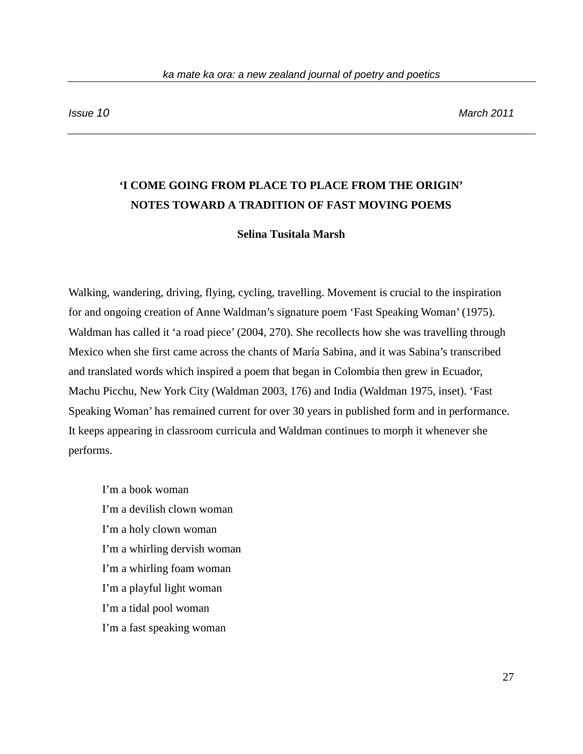# **'I COME GOING FROM PLACE TO PLACE FROM THE ORIGIN' NOTES TOWARD A TRADITION OF FAST MOVING POEMS**

# **Selina Tusitala Marsh**

Walking, wandering, driving, flying, cycling, travelling. Movement is crucial to the inspiration for and ongoing creation of Anne Waldman's signature poem 'Fast Speaking Woman' (1975). Waldman has called it 'a road piece' (2004, 270). She recollects how she was travelling through Mexico when she first came across the chants of María Sabina, and it was Sabina's transcribed and translated words which inspired a poem that began in Colombia then grew in Ecuador, Machu Picchu, New York City (Waldman 2003, 176) and India (Waldman 1975, inset). 'Fast Speaking Woman' has remained current for over 30 years in published form and in performance. It keeps appearing in classroom curricula and Waldman continues to morph it whenever she performs.

I'm a book woman I'm a devilish clown woman I'm a holy clown woman I'm a whirling dervish woman I'm a whirling foam woman I'm a playful light woman I'm a tidal pool woman I'm a fast speaking woman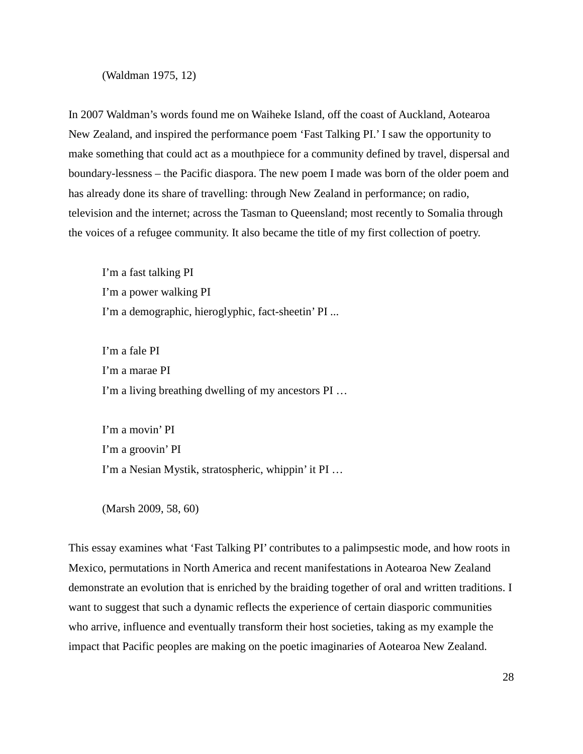(Waldman 1975, 12)

In 2007 Waldman's words found me on Waiheke Island, off the coast of Auckland, Aotearoa New Zealand, and inspired the performance poem 'Fast Talking PI.' I saw the opportunity to make something that could act as a mouthpiece for a community defined by travel, dispersal and boundary-lessness – the Pacific diaspora. The new poem I made was born of the older poem and has already done its share of travelling: through New Zealand in performance; on radio, television and the internet; across the Tasman to Queensland; most recently to Somalia through the voices of a refugee community. It also became the title of my first collection of poetry.

I'm a fast talking PI I'm a power walking PI I'm a demographic, hieroglyphic, fact-sheetin' PI ...

I'm a fale PI I'm a marae PI I'm a living breathing dwelling of my ancestors PI …

I'm a movin' PI I'm a groovin' PI I'm a Nesian Mystik, stratospheric, whippin' it PI …

(Marsh 2009, 58, 60)

This essay examines what 'Fast Talking PI' contributes to a palimpsestic mode, and how roots in Mexico, permutations in North America and recent manifestations in Aotearoa New Zealand demonstrate an evolution that is enriched by the braiding together of oral and written traditions. I want to suggest that such a dynamic reflects the experience of certain diasporic communities who arrive, influence and eventually transform their host societies, taking as my example the impact that Pacific peoples are making on the poetic imaginaries of Aotearoa New Zealand.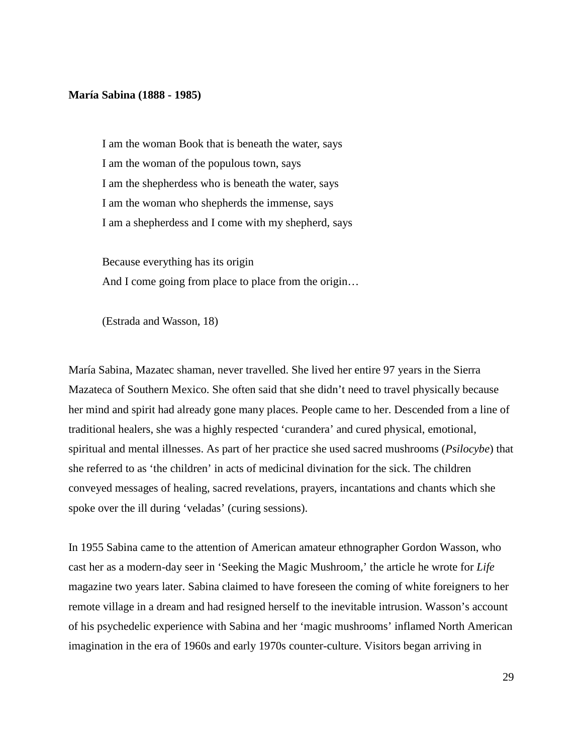## **María Sabina (1888 - 1985)**

I am the woman Book that is beneath the water, says I am the woman of the populous town, says I am the shepherdess who is beneath the water, says I am the woman who shepherds the immense, says I am a shepherdess and I come with my shepherd, says

Because everything has its origin And I come going from place to place from the origin…

(Estrada and Wasson, 18)

María Sabina, Mazatec shaman, never travelled. She lived her entire 97 years in the Sierra Mazateca of Southern Mexico. She often said that she didn't need to travel physically because her mind and spirit had already gone many places. People came to her. Descended from a line of traditional healers, she was a highly respected 'curandera' and cured physical, emotional, spiritual and mental illnesses. As part of her practice she used sacred mushrooms (*Psilocybe*) that she referred to as 'the children' in acts of medicinal divination for the sick. The children conveyed messages of healing, sacred revelations, prayers, incantations and chants which she spoke over the ill during 'veladas' (curing sessions).

In 1955 Sabina came to the attention of American amateur ethnographer Gordon Wasson, who cast her as a modern-day seer in 'Seeking the Magic Mushroom,' the article he wrote for *Life*  magazine two years later. Sabina claimed to have foreseen the coming of white foreigners to her remote village in a dream and had resigned herself to the inevitable intrusion. Wasson's account of his psychedelic experience with Sabina and her 'magic mushrooms' inflamed North American imagination in the era of 1960s and early 1970s counter-culture. Visitors began arriving in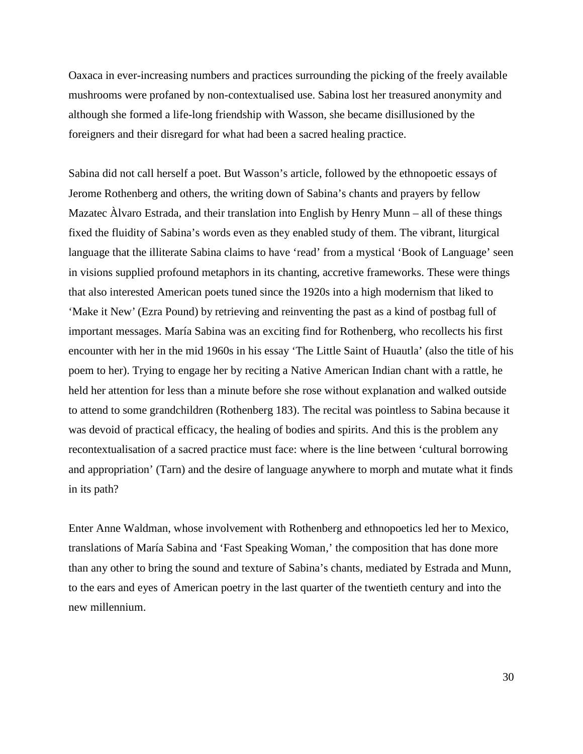Oaxaca in ever-increasing numbers and practices surrounding the picking of the freely available mushrooms were profaned by non-contextualised use. Sabina lost her treasured anonymity and although she formed a life-long friendship with Wasson, she became disillusioned by the foreigners and their disregard for what had been a sacred healing practice.

Sabina did not call herself a poet. But Wasson's article, followed by the ethnopoetic essays of Jerome Rothenberg and others, the writing down of Sabina's chants and prayers by fellow Mazatec Àlvaro Estrada, and their translation into English by Henry Munn – all of these things fixed the fluidity of Sabina's words even as they enabled study of them. The vibrant, liturgical language that the illiterate Sabina claims to have 'read' from a mystical 'Book of Language' seen in visions supplied profound metaphors in its chanting, accretive frameworks. These were things that also interested American poets tuned since the 1920s into a high modernism that liked to 'Make it New' (Ezra Pound) by retrieving and reinventing the past as a kind of postbag full of important messages. María Sabina was an exciting find for Rothenberg, who recollects his first encounter with her in the mid 1960s in his essay 'The Little Saint of Huautla' (also the title of his poem to her). Trying to engage her by reciting a Native American Indian chant with a rattle, he held her attention for less than a minute before she rose without explanation and walked outside to attend to some grandchildren (Rothenberg 183). The recital was pointless to Sabina because it was devoid of practical efficacy, the healing of bodies and spirits. And this is the problem any recontextualisation of a sacred practice must face: where is the line between 'cultural borrowing and appropriation' (Tarn) and the desire of language anywhere to morph and mutate what it finds in its path?

Enter Anne Waldman, whose involvement with Rothenberg and ethnopoetics led her to Mexico, translations of María Sabina and 'Fast Speaking Woman,' the composition that has done more than any other to bring the sound and texture of Sabina's chants, mediated by Estrada and Munn, to the ears and eyes of American poetry in the last quarter of the twentieth century and into the new millennium.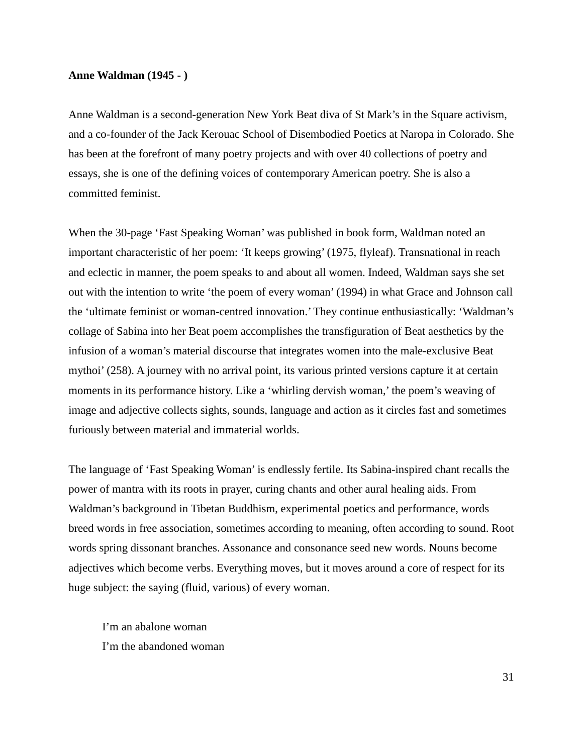## **Anne Waldman (1945 - )**

Anne Waldman is a second-generation New York Beat diva of St Mark's in the Square activism, and a co-founder of the Jack Kerouac School of Disembodied Poetics at Naropa in Colorado. She has been at the forefront of many poetry projects and with over 40 collections of poetry and essays, she is one of the defining voices of contemporary American poetry. She is also a committed feminist.

When the 30-page 'Fast Speaking Woman' was published in book form, Waldman noted an important characteristic of her poem: 'It keeps growing' (1975, flyleaf). Transnational in reach and eclectic in manner, the poem speaks to and about all women. Indeed, Waldman says she set out with the intention to write 'the poem of every woman' (1994) in what Grace and Johnson call the 'ultimate feminist or woman-centred innovation.' They continue enthusiastically: 'Waldman's collage of Sabina into her Beat poem accomplishes the transfiguration of Beat aesthetics by the infusion of a woman's material discourse that integrates women into the male-exclusive Beat mythoi' (258). A journey with no arrival point, its various printed versions capture it at certain moments in its performance history. Like a 'whirling dervish woman,' the poem's weaving of image and adjective collects sights, sounds, language and action as it circles fast and sometimes furiously between material and immaterial worlds.

The language of 'Fast Speaking Woman' is endlessly fertile. Its Sabina-inspired chant recalls the power of mantra with its roots in prayer, curing chants and other aural healing aids. From Waldman's background in Tibetan Buddhism, experimental poetics and performance, words breed words in free association, sometimes according to meaning, often according to sound. Root words spring dissonant branches. Assonance and consonance seed new words. Nouns become adjectives which become verbs. Everything moves, but it moves around a core of respect for its huge subject: the saying (fluid, various) of every woman.

I'm an abalone woman I'm the abandoned woman

31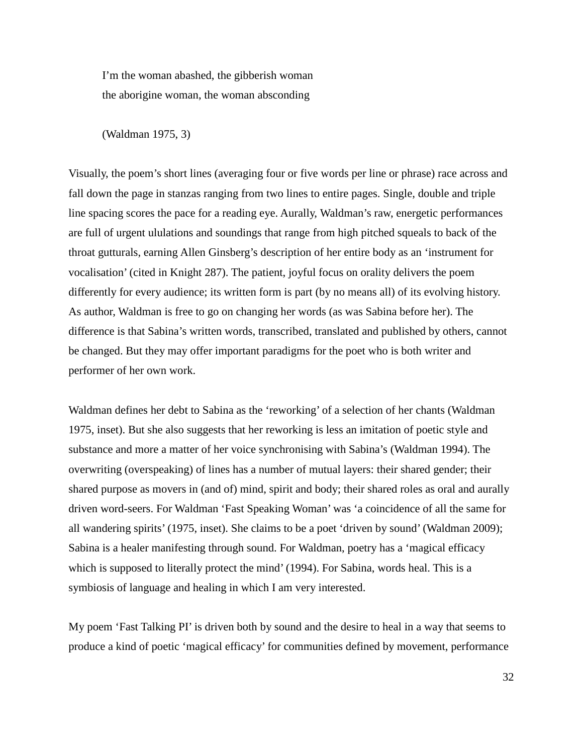I'm the woman abashed, the gibberish woman the aborigine woman, the woman absconding

(Waldman 1975, 3)

Visually, the poem's short lines (averaging four or five words per line or phrase) race across and fall down the page in stanzas ranging from two lines to entire pages. Single, double and triple line spacing scores the pace for a reading eye. Aurally, Waldman's raw, energetic performances are full of urgent ululations and soundings that range from high pitched squeals to back of the throat gutturals, earning Allen Ginsberg's description of her entire body as an 'instrument for vocalisation' (cited in Knight 287). The patient, joyful focus on orality delivers the poem differently for every audience; its written form is part (by no means all) of its evolving history. As author, Waldman is free to go on changing her words (as was Sabina before her). The difference is that Sabina's written words, transcribed, translated and published by others, cannot be changed. But they may offer important paradigms for the poet who is both writer and performer of her own work.

Waldman defines her debt to Sabina as the 'reworking' of a selection of her chants (Waldman 1975, inset). But she also suggests that her reworking is less an imitation of poetic style and substance and more a matter of her voice synchronising with Sabina's (Waldman 1994). The overwriting (overspeaking) of lines has a number of mutual layers: their shared gender; their shared purpose as movers in (and of) mind, spirit and body; their shared roles as oral and aurally driven word-seers. For Waldman 'Fast Speaking Woman' was 'a coincidence of all the same for all wandering spirits' (1975, inset). She claims to be a poet 'driven by sound' (Waldman 2009); Sabina is a healer manifesting through sound. For Waldman, poetry has a 'magical efficacy which is supposed to literally protect the mind' (1994). For Sabina, words heal. This is a symbiosis of language and healing in which I am very interested.

My poem 'Fast Talking PI' is driven both by sound and the desire to heal in a way that seems to produce a kind of poetic 'magical efficacy' for communities defined by movement, performance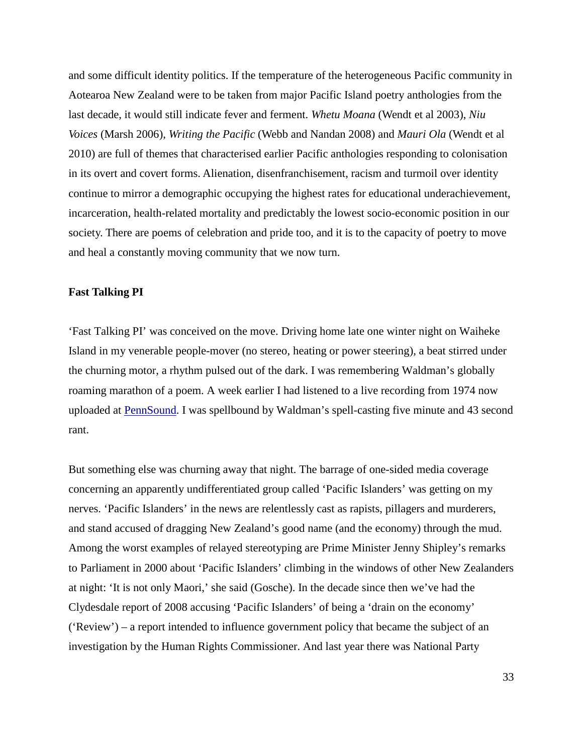and some difficult identity politics. If the temperature of the heterogeneous Pacific community in Aotearoa New Zealand were to be taken from major Pacific Island poetry anthologies from the last decade, it would still indicate fever and ferment. *Whetu Moana* (Wendt et al 2003), *Niu Voices* (Marsh 2006), *Writing the Pacific* (Webb and Nandan 2008) and *Mauri Ola* (Wendt et al 2010) are full of themes that characterised earlier Pacific anthologies responding to colonisation in its overt and covert forms. Alienation, disenfranchisement, racism and turmoil over identity continue to mirror a demographic occupying the highest rates for educational underachievement, incarceration, health-related mortality and predictably the lowest socio-economic position in our society. There are poems of celebration and pride too, and it is to the capacity of poetry to move and heal a constantly moving community that we now turn.

#### **Fast Talking PI**

'Fast Talking PI' was conceived on the move. Driving home late one winter night on Waiheke Island in my venerable people-mover (no stereo, heating or power steering), a beat stirred under the churning motor, a rhythm pulsed out of the dark. I was remembering Waldman's globally roaming marathon of a poem. A week earlier I had listened to a live recording from 1974 now uploaded at [PennSound.](http://writing.upenn.edu/pennsound/x/Waldman.html) I was spellbound by Waldman's spell-casting five minute and 43 second rant.

But something else was churning away that night. The barrage of one-sided media coverage concerning an apparently undifferentiated group called 'Pacific Islanders' was getting on my nerves. 'Pacific Islanders' in the news are relentlessly cast as rapists, pillagers and murderers, and stand accused of dragging New Zealand's good name (and the economy) through the mud. Among the worst examples of relayed stereotyping are Prime Minister Jenny Shipley's remarks to Parliament in 2000 about 'Pacific Islanders' climbing in the windows of other New Zealanders at night: 'It is not only Maori,' she said (Gosche). In the decade since then we've had the Clydesdale report of 2008 accusing 'Pacific Islanders' of being a 'drain on the economy' ('Review') – a report intended to influence government policy that became the subject of an investigation by the Human Rights Commissioner. And last year there was National Party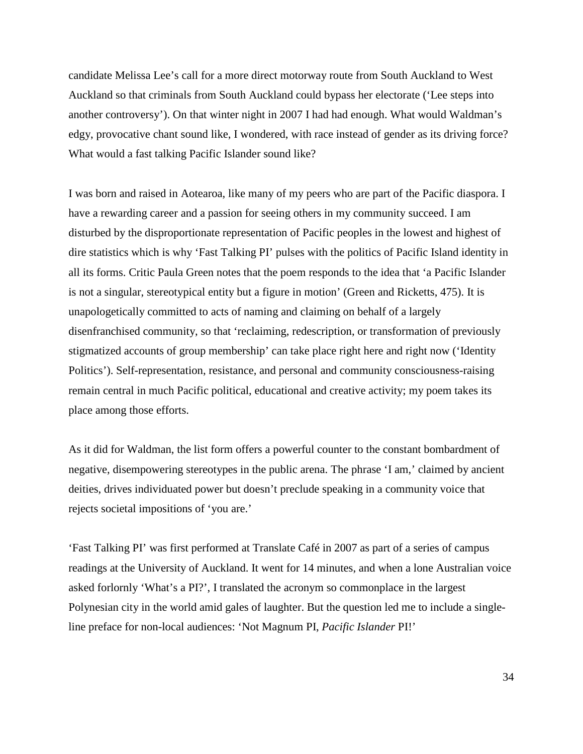candidate Melissa Lee's call for a more direct motorway route from South Auckland to West Auckland so that criminals from South Auckland could bypass her electorate ('Lee steps into another controversy'). On that winter night in 2007 I had had enough. What would Waldman's edgy, provocative chant sound like, I wondered, with race instead of gender as its driving force? What would a fast talking Pacific Islander sound like?

I was born and raised in Aotearoa, like many of my peers who are part of the Pacific diaspora. I have a rewarding career and a passion for seeing others in my community succeed. I am disturbed by the disproportionate representation of Pacific peoples in the lowest and highest of dire statistics which is why 'Fast Talking PI' pulses with the politics of Pacific Island identity in all its forms. Critic Paula Green notes that the poem responds to the idea that 'a Pacific Islander is not a singular, stereotypical entity but a figure in motion' (Green and Ricketts, 475). It is unapologetically committed to acts of naming and claiming on behalf of a largely disenfranchised community, so that 'reclaiming, redescription, or transformation of previously stigmatized accounts of group membership' can take place right here and right now ('Identity Politics'). Self-representation, resistance, and personal and community consciousness-raising remain central in much Pacific political, educational and creative activity; my poem takes its place among those efforts.

As it did for Waldman, the list form offers a powerful counter to the constant bombardment of negative, disempowering stereotypes in the public arena. The phrase 'I am,' claimed by ancient deities, drives individuated power but doesn't preclude speaking in a community voice that rejects societal impositions of 'you are.'

'Fast Talking PI' was first performed at Translate Café in 2007 as part of a series of campus readings at the University of Auckland. It went for 14 minutes, and when a lone Australian voice asked forlornly 'What's a PI?', I translated the acronym so commonplace in the largest Polynesian city in the world amid gales of laughter. But the question led me to include a singleline preface for non-local audiences: 'Not Magnum PI, *Pacific Islander* PI!'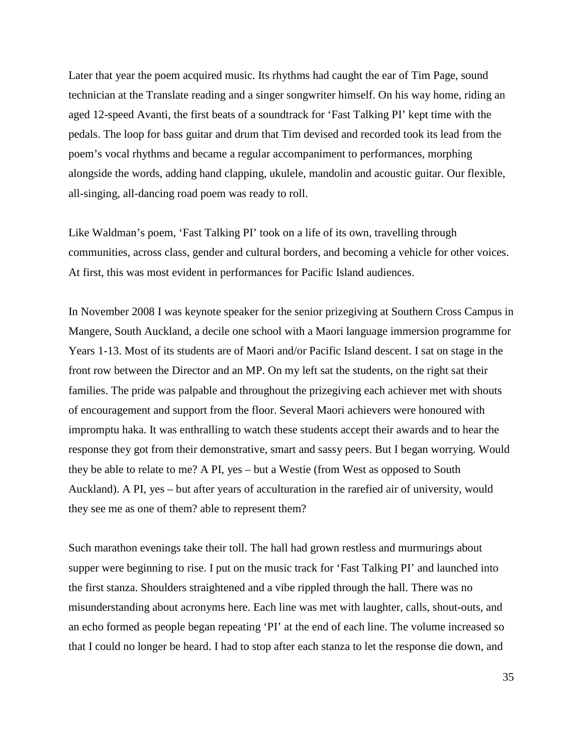Later that year the poem acquired music. Its rhythms had caught the ear of Tim Page, sound technician at the Translate reading and a singer songwriter himself. On his way home, riding an aged 12-speed Avanti, the first beats of a soundtrack for 'Fast Talking PI' kept time with the pedals. The loop for bass guitar and drum that Tim devised and recorded took its lead from the poem's vocal rhythms and became a regular accompaniment to performances, morphing alongside the words, adding hand clapping, ukulele, mandolin and acoustic guitar. Our flexible, all-singing, all-dancing road poem was ready to roll.

Like Waldman's poem, 'Fast Talking PI' took on a life of its own, travelling through communities, across class, gender and cultural borders, and becoming a vehicle for other voices. At first, this was most evident in performances for Pacific Island audiences.

In November 2008 I was keynote speaker for the senior prizegiving at Southern Cross Campus in Mangere, South Auckland, a decile one school with a Maori language immersion programme for Years 1-13. Most of its students are of Maori and/or Pacific Island descent. I sat on stage in the front row between the Director and an MP. On my left sat the students, on the right sat their families. The pride was palpable and throughout the prizegiving each achiever met with shouts of encouragement and support from the floor. Several Maori achievers were honoured with impromptu haka. It was enthralling to watch these students accept their awards and to hear the response they got from their demonstrative, smart and sassy peers. But I began worrying. Would they be able to relate to me? A PI, yes – but a Westie (from West as opposed to South Auckland). A PI, yes – but after years of acculturation in the rarefied air of university, would they see me as one of them? able to represent them?

Such marathon evenings take their toll. The hall had grown restless and murmurings about supper were beginning to rise. I put on the music track for 'Fast Talking PI' and launched into the first stanza. Shoulders straightened and a vibe rippled through the hall. There was no misunderstanding about acronyms here. Each line was met with laughter, calls, shout-outs, and an echo formed as people began repeating 'PI' at the end of each line. The volume increased so that I could no longer be heard. I had to stop after each stanza to let the response die down, and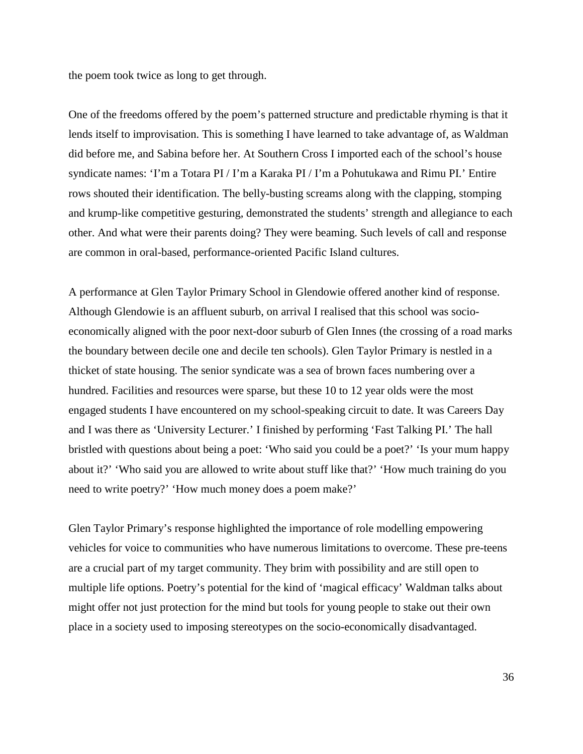the poem took twice as long to get through.

One of the freedoms offered by the poem's patterned structure and predictable rhyming is that it lends itself to improvisation. This is something I have learned to take advantage of, as Waldman did before me, and Sabina before her. At Southern Cross I imported each of the school's house syndicate names: 'I'm a Totara PI / I'm a Karaka PI / I'm a Pohutukawa and Rimu PI.' Entire rows shouted their identification. The belly-busting screams along with the clapping, stomping and krump-like competitive gesturing, demonstrated the students' strength and allegiance to each other. And what were their parents doing? They were beaming. Such levels of call and response are common in oral-based, performance-oriented Pacific Island cultures.

A performance at Glen Taylor Primary School in Glendowie offered another kind of response. Although Glendowie is an affluent suburb, on arrival I realised that this school was socioeconomically aligned with the poor next-door suburb of Glen Innes (the crossing of a road marks the boundary between decile one and decile ten schools). Glen Taylor Primary is nestled in a thicket of state housing. The senior syndicate was a sea of brown faces numbering over a hundred. Facilities and resources were sparse, but these 10 to 12 year olds were the most engaged students I have encountered on my school-speaking circuit to date. It was Careers Day and I was there as 'University Lecturer.' I finished by performing 'Fast Talking PI.' The hall bristled with questions about being a poet: 'Who said you could be a poet?' 'Is your mum happy about it?' 'Who said you are allowed to write about stuff like that?' 'How much training do you need to write poetry?' 'How much money does a poem make?'

Glen Taylor Primary's response highlighted the importance of role modelling empowering vehicles for voice to communities who have numerous limitations to overcome. These pre-teens are a crucial part of my target community. They brim with possibility and are still open to multiple life options. Poetry's potential for the kind of 'magical efficacy' Waldman talks about might offer not just protection for the mind but tools for young people to stake out their own place in a society used to imposing stereotypes on the socio-economically disadvantaged.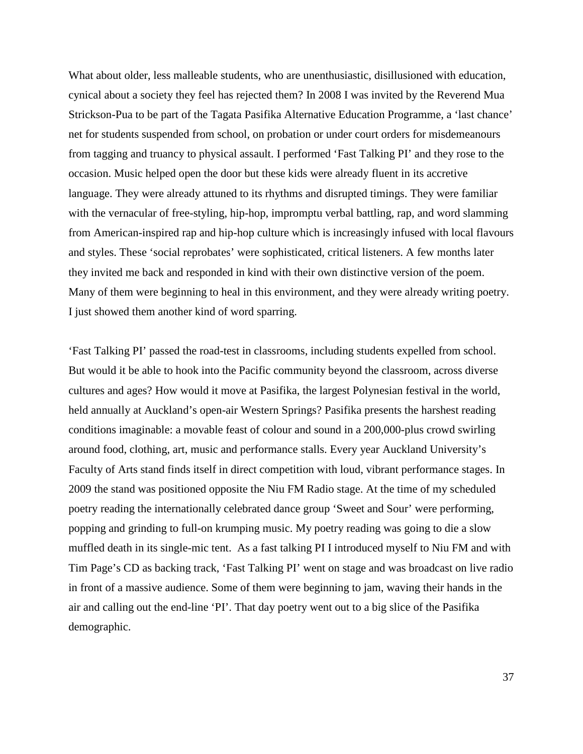What about older, less malleable students, who are unenthusiastic, disillusioned with education, cynical about a society they feel has rejected them? In 2008 I was invited by the Reverend Mua Strickson-Pua to be part of the Tagata Pasifika Alternative Education Programme, a 'last chance' net for students suspended from school, on probation or under court orders for misdemeanours from tagging and truancy to physical assault. I performed 'Fast Talking PI' and they rose to the occasion. Music helped open the door but these kids were already fluent in its accretive language. They were already attuned to its rhythms and disrupted timings. They were familiar with the vernacular of free-styling, hip-hop, impromptu verbal battling, rap, and word slamming from American-inspired rap and hip-hop culture which is increasingly infused with local flavours and styles. These 'social reprobates' were sophisticated, critical listeners. A few months later they invited me back and responded in kind with their own distinctive version of the poem. Many of them were beginning to heal in this environment, and they were already writing poetry. I just showed them another kind of word sparring.

'Fast Talking PI' passed the road-test in classrooms, including students expelled from school. But would it be able to hook into the Pacific community beyond the classroom, across diverse cultures and ages? How would it move at Pasifika, the largest Polynesian festival in the world, held annually at Auckland's open-air Western Springs? Pasifika presents the harshest reading conditions imaginable: a movable feast of colour and sound in a 200,000-plus crowd swirling around food, clothing, art, music and performance stalls. Every year Auckland University's Faculty of Arts stand finds itself in direct competition with loud, vibrant performance stages. In 2009 the stand was positioned opposite the Niu FM Radio stage. At the time of my scheduled poetry reading the internationally celebrated dance group 'Sweet and Sour' were performing, popping and grinding to full-on krumping music. My poetry reading was going to die a slow muffled death in its single-mic tent. As a fast talking PI I introduced myself to Niu FM and with Tim Page's CD as backing track, 'Fast Talking PI' went on stage and was broadcast on live radio in front of a massive audience. Some of them were beginning to jam, waving their hands in the air and calling out the end-line 'PI'. That day poetry went out to a big slice of the Pasifika demographic.

37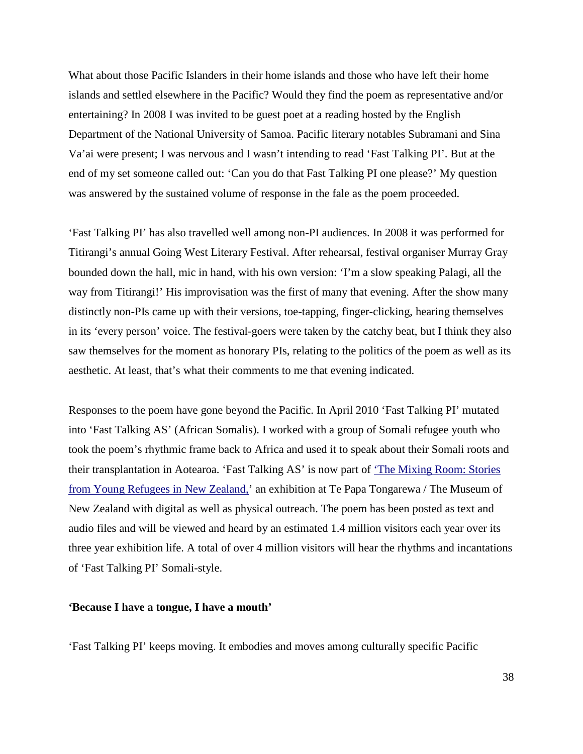What about those Pacific Islanders in their home islands and those who have left their home islands and settled elsewhere in the Pacific? Would they find the poem as representative and/or entertaining? In 2008 I was invited to be guest poet at a reading hosted by the English Department of the National University of Samoa. Pacific literary notables Subramani and Sina Va'ai were present; I was nervous and I wasn't intending to read 'Fast Talking PI'. But at the end of my set someone called out: 'Can you do that Fast Talking PI one please?' My question was answered by the sustained volume of response in the fale as the poem proceeded.

'Fast Talking PI' has also travelled well among non-PI audiences. In 2008 it was performed for Titirangi's annual Going West Literary Festival. After rehearsal, festival organiser Murray Gray bounded down the hall, mic in hand, with his own version: 'I'm a slow speaking Palagi, all the way from Titirangi!' His improvisation was the first of many that evening. After the show many distinctly non-PIs came up with their versions, toe-tapping, finger-clicking, hearing themselves in its 'every person' voice. The festival-goers were taken by the catchy beat, but I think they also saw themselves for the moment as honorary PIs, relating to the politics of the poem as well as its aesthetic. At least, that's what their comments to me that evening indicated.

Responses to the poem have gone beyond the Pacific. In April 2010 'Fast Talking PI' mutated into 'Fast Talking AS' (African Somalis). I worked with a group of Somali refugee youth who took the poem's rhythmic frame back to Africa and used it to speak about their Somali roots and their transplantation in Aotearoa. 'Fast Talking AS' is now part of ['The Mixing Room: Stories](http://sites.tepapa.govt.nz/refugeesblog/the-project/)  [from Young Refugees in New Zealand,'](http://sites.tepapa.govt.nz/refugeesblog/the-project/) an exhibition at Te Papa Tongarewa / The Museum of New Zealand with digital as well as physical outreach. The poem has been posted as text and audio files and will be viewed and heard by an estimated 1.4 million visitors each year over its three year exhibition life. A total of over 4 million visitors will hear the rhythms and incantations of 'Fast Talking PI' Somali-style.

# **'Because I have a tongue, I have a mouth'**

'Fast Talking PI' keeps moving. It embodies and moves among culturally specific Pacific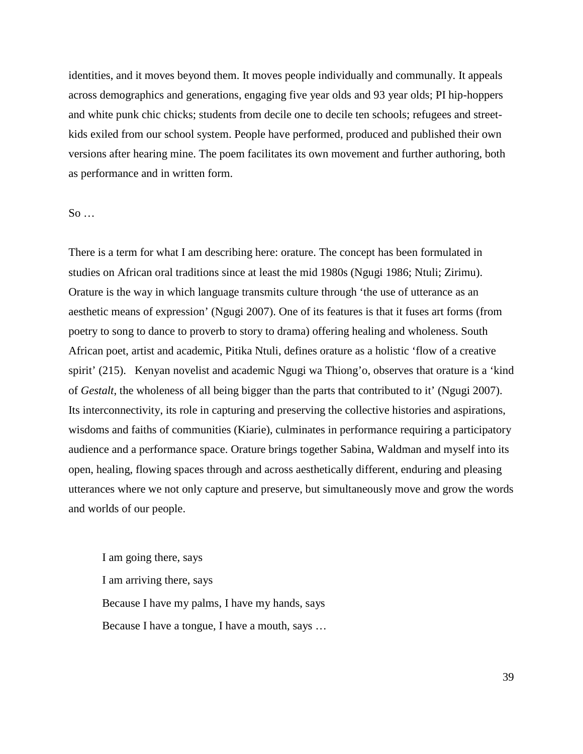identities, and it moves beyond them. It moves people individually and communally. It appeals across demographics and generations, engaging five year olds and 93 year olds; PI hip-hoppers and white punk chic chicks; students from decile one to decile ten schools; refugees and streetkids exiled from our school system. People have performed, produced and published their own versions after hearing mine. The poem facilitates its own movement and further authoring, both as performance and in written form.

#### So …

There is a term for what I am describing here: orature. The concept has been formulated in studies on African oral traditions since at least the mid 1980s (Ngugi 1986; Ntuli; Zirimu). Orature is the way in which language transmits culture through 'the use of utterance as an aesthetic means of expression' (Ngugi 2007). One of its features is that it fuses art forms (from poetry to song to dance to proverb to story to drama) offering healing and wholeness. South African poet, artist and academic, Pitika Ntuli, defines orature as a holistic 'flow of a creative spirit' (215). Kenyan novelist and academic Ngugi wa Thiong'o, observes that orature is a 'kind of *Gestalt*, the wholeness of all being bigger than the parts that contributed to it' (Ngugi 2007). Its interconnectivity, its role in capturing and preserving the collective histories and aspirations, wisdoms and faiths of communities (Kiarie), culminates in performance requiring a participatory audience and a performance space. Orature brings together Sabina, Waldman and myself into its open, healing, flowing spaces through and across aesthetically different, enduring and pleasing utterances where we not only capture and preserve, but simultaneously move and grow the words and worlds of our people.

I am going there, says I am arriving there, says Because I have my palms, I have my hands, says Because I have a tongue, I have a mouth, says …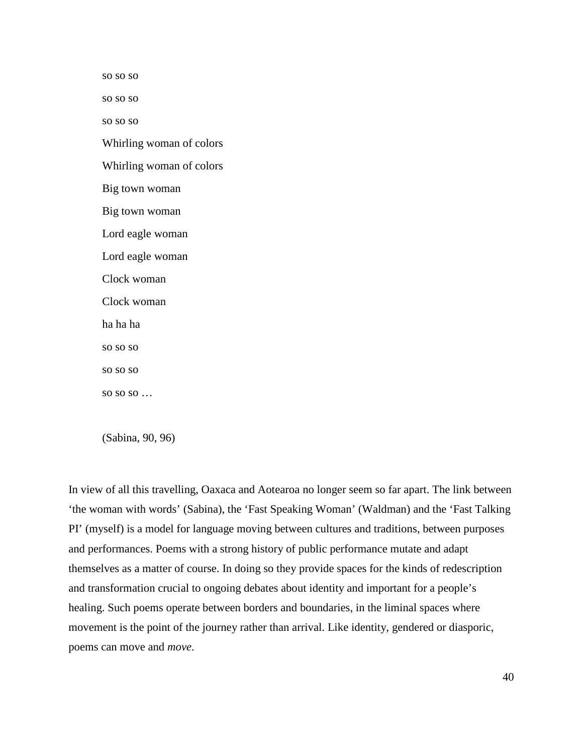so so so so so so so so so Whirling woman of colors Whirling woman of colors Big town woman Big town woman Lord eagle woman Lord eagle woman Clock woman Clock woman ha ha ha so so so so so so so so so …

(Sabina, 90, 96)

In view of all this travelling, Oaxaca and Aotearoa no longer seem so far apart. The link between 'the woman with words' (Sabina), the 'Fast Speaking Woman' (Waldman) and the 'Fast Talking PI' (myself) is a model for language moving between cultures and traditions, between purposes and performances. Poems with a strong history of public performance mutate and adapt themselves as a matter of course. In doing so they provide spaces for the kinds of redescription and transformation crucial to ongoing debates about identity and important for a people's healing. Such poems operate between borders and boundaries, in the liminal spaces where movement is the point of the journey rather than arrival. Like identity, gendered or diasporic, poems can move and *move*.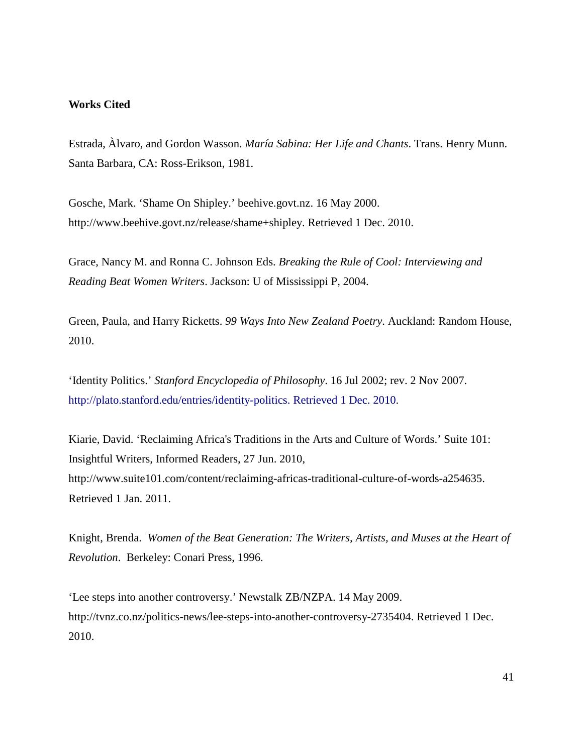# **Works Cited**

Estrada, Àlvaro, and Gordon Wasson. *María Sabina: Her Life and Chants*. Trans. Henry Munn. Santa Barbara, CA: Ross-Erikson, 1981.

Gosche, Mark. 'Shame On Shipley.' beehive.govt.nz. 16 May 2000. [http://www.beehive.govt.nz/release/shame+shipley. R](http://www.beehive.govt.nz/release/shame+shipley)etrieved 1 Dec. 2010.

Grace, Nancy M. and Ronna C. Johnson Eds. *Breaking the Rule of Cool: Interviewing and Reading Beat Women Writers*. Jackson: U of Mississippi P, 2004.

Green, Paula, and Harry Ricketts. *99 Ways Into New Zealand Poetry*. Auckland: Random House, 2010.

'Identity Politics.' *Stanford Encyclopedia of Philosophy*. 16 Jul 2002; rev. 2 Nov 2007. [http://plato.stanford.edu/entries/identity-politics. Retrieved](http://plato.stanford.edu/entries/identity-politics.%20Retrieved%201%20Dec.%202010) 1 Dec. 2010.

[Kiarie,](http://www.suite101.com/profile.cfm/davidkiarie) David. 'Reclaiming Africa's Traditions in the Arts and Culture of Words.' Suite 101: Insightful Writers, Informed Readers, 27 Jun. 2010, [http://www.suite101.com/content/reclaiming-africas-traditional-culture-of-words-a254635.](http://www.suite101.com/content/reclaiming-africas-traditional-culture-of-words-a254635) Retrieved 1 Jan. 2011.

Knight, Brenda. *Women of the Beat Generation: The Writers, Artists, and Muses at the Heart of Revolution*. Berkeley: Conari Press, 1996.

'Lee steps into another controversy.' Newstalk ZB/NZPA. 14 May 2009. [http://tvnz.co.nz/politics-news/lee-steps-into-another-controversy-2735404.](http://tvnz.co.nz/politics-news/lee-steps-into-another-controversy-2735404) Retrieved 1 Dec. 2010.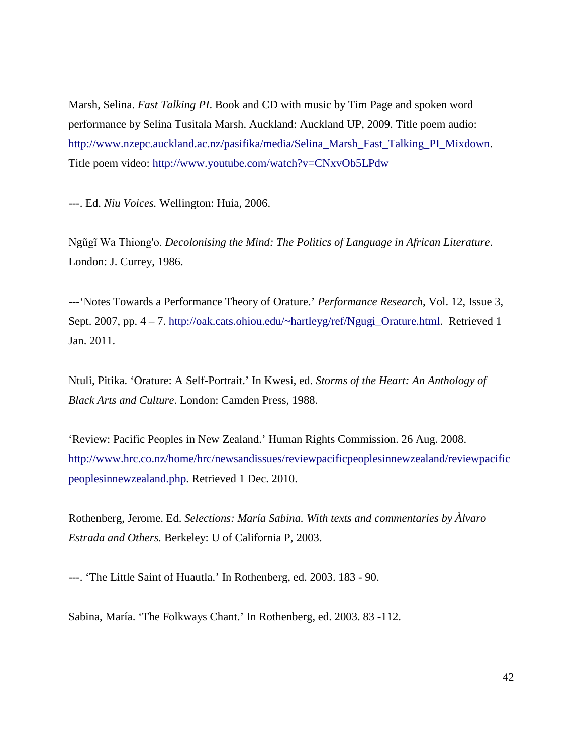Marsh, Selina. *Fast Talking PI*. Book and CD with music by Tim Page and spoken word performance by Selina Tusitala Marsh. Auckland: Auckland UP, 2009. Title poem audio: [http://www.nzepc.auckland.ac.nz/pasifika/media/Selina\\_Marsh\\_Fast\\_Talking\\_PI\\_Mixdown.](http://www.nzepc.auckland.ac.nz/pasifika/media/Selina_Marsh_Fast_Talking_PI_Mixdown) Title poem video:<http://www.youtube.com/watch?v=CNxvOb5LPdw>

---. Ed. *Niu Voices.* Wellington: Huia, 2006.

Ngũgĩ Wa Thiong'o. *Decolonising the Mind: The Politics of Language in African Literature*. London: J. Currey, 1986.

---'Notes Towards a Performance Theory of Orature.' *[Performance Research](http://oak.cats.ohiou.edu/~hartleyg/ref/title~content=t716100720~db=all)*, Vol. [12,](http://oak.cats.ohiou.edu/~hartleyg/ref/title~content=t716100720~db=all~tab=issueslist~branches=12#v12) Issue 3, Sept. 2007, pp. 4 – 7. [http://oak.cats.ohiou.edu/~hartleyg/ref/Ngugi\\_Orature.html.](http://oak.cats.ohiou.edu/~hartleyg/ref/Ngugi_Orature.html) Retrieved 1 Jan. 2011.

Ntuli, Pitika. 'Orature: A Self-Portrait.' In Kwesi, ed. *Storms of the Heart: An Anthology of Black Arts and Culture*. London: Camden Press, 1988.

'Review: Pacific Peoples in New Zealand.' Human Rights Commission. 26 Aug. 2008. [http://www.hrc.co.nz/home/hrc/newsandissues/reviewpacificpeoplesinnewzealand/reviewpacific](http://www.hrc.co.nz/home/hrc/newsandissues/reviewpacificpeoplesinnewzealand/reviewpacificpeoplesinnewzealand.php) [peoplesinnewzealand.php.](http://www.hrc.co.nz/home/hrc/newsandissues/reviewpacificpeoplesinnewzealand/reviewpacificpeoplesinnewzealand.php) Retrieved 1 Dec. 2010.

Rothenberg, Jerome. Ed. *Selections: María Sabina. With texts and commentaries by Àlvaro Estrada and Others.* Berkeley: U of California P, 2003.

---. 'The Little Saint of Huautla.' In Rothenberg, ed. 2003. 183 - 90.

Sabina, María. 'The Folkways Chant.' In Rothenberg, ed. 2003. 83 -112.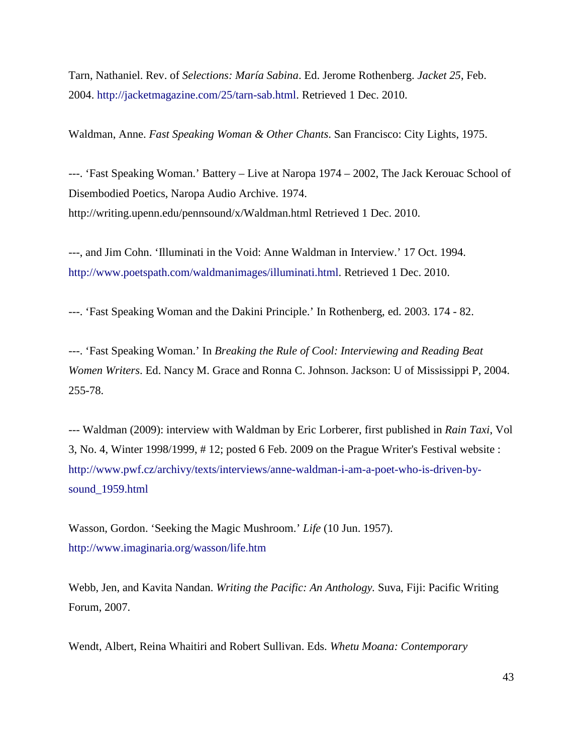Tarn, Nathaniel. Rev. of *Selections: María Sabina*. Ed. Jerome Rothenberg. *Jacket 25*, Feb. 2004. [http://jacketmagazine.com/25/tarn-sab.html.](http://jacketmagazine.com/25/tarn-sab.html) Retrieved 1 Dec. 2010.

Waldman, Anne. *Fast Speaking Woman & Other Chants*. San Francisco: City Lights, 1975.

---. 'Fast Speaking Woman.' Battery – Live at Naropa 1974 – 2002, The Jack Kerouac School of Disembodied Poetics, Naropa Audio Archive. 1974. <http://writing.upenn.edu/pennsound/x/Waldman.html> Retrieved 1 Dec. 2010.

---, and Jim Cohn. 'Illuminati in the Void: Anne Waldman in Interview.' 17 Oct. 1994. [http://www.poetspath.com/waldmanimages/illuminati.html.](http://www.poetspath.com/waldmanimages/illuminati.html) Retrieved 1 Dec. 2010.

---. 'Fast Speaking Woman and the Dakini Principle.' In Rothenberg, ed. 2003. 174 - 82.

---. 'Fast Speaking Woman.' In *Breaking the Rule of Cool: Interviewing and Reading Beat Women Writers*. Ed. Nancy M. Grace and Ronna C. Johnson. Jackson: U of Mississippi P, 2004. 255-78.

--- Waldman (2009): interview with Waldman by Eric Lorberer, first published in *Rain Taxi*, Vol 3, No. 4, Winter 1998/1999, # 12; posted 6 Feb. 2009 on the Prague Writer's Festival website : [http://www.pwf.cz/archivy/texts/interviews/anne-waldman-i-am-a-poet-who-is-driven-by](http://www.pwf.cz/archivy/texts/interviews/anne-waldman-i-am-a-poet-who-is-driven-by-sound_1959.html)sound 1959.html

Wasson, Gordon. 'Seeking the Magic Mushroom.' *Life* (10 Jun. 1957). <http://www.imaginaria.org/wasson/life.htm>

Webb, Jen, and Kavita Nandan. *Writing the Pacific: An Anthology.* Suva, Fiji: Pacific Writing Forum, 2007.

Wendt, Albert, Reina Whaitiri and Robert Sullivan. Eds. *Whetu Moana: Contemporary*